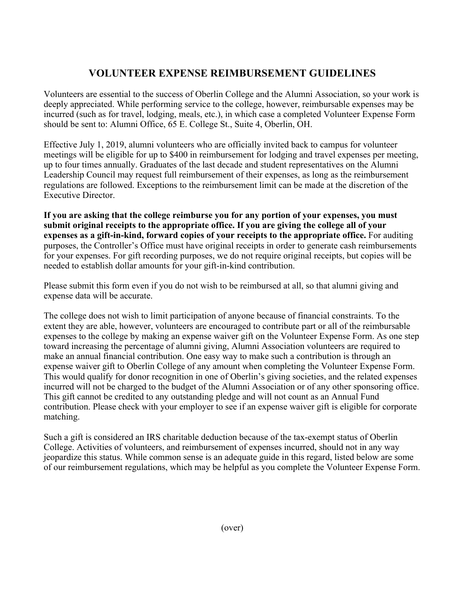## **VOLUNTEER EXPENSE REIMBURSEMENT GUIDELINES**

Volunteers are essential to the success of Oberlin College and the Alumni Association, so your work is deeply appreciated. While performing service to the college, however, reimbursable expenses may be incurred (such as for travel, lodging, meals, etc.), in which case a completed Volunteer Expense Form should be sent to: Alumni Office, 65 E. College St., Suite 4, Oberlin, OH.

Effective July 1, 2019, alumni volunteers who are officially invited back to campus for volunteer meetings will be eligible for up to \$400 in reimbursement for lodging and travel expenses per meeting, up to four times annually. Graduates of the last decade and student representatives on the Alumni Leadership Council may request full reimbursement of their expenses, as long as the reimbursement regulations are followed. Exceptions to the reimbursement limit can be made at the discretion of the Executive Director.

**If you are asking that the college reimburse you for any portion of your expenses, you must submit original receipts to the appropriate office. If you are giving the college all of your expenses as a gift-in-kind, forward copies of your receipts to the appropriate office.** For auditing purposes, the Controller's Office must have original receipts in order to generate cash reimbursements for your expenses. For gift recording purposes, we do not require original receipts, but copies will be needed to establish dollar amounts for your gift-in-kind contribution.

Please submit this form even if you do not wish to be reimbursed at all, so that alumni giving and expense data will be accurate.

The college does not wish to limit participation of anyone because of financial constraints. To the extent they are able, however, volunteers are encouraged to contribute part or all of the reimbursable expenses to the college by making an expense waiver gift on the Volunteer Expense Form. As one step toward increasing the percentage of alumni giving, Alumni Association volunteers are required to make an annual financial contribution. One easy way to make such a contribution is through an expense waiver gift to Oberlin College of any amount when completing the Volunteer Expense Form. This would qualify for donor recognition in one of Oberlin's giving societies, and the related expenses incurred will not be charged to the budget of the Alumni Association or of any other sponsoring office. This gift cannot be credited to any outstanding pledge and will not count as an Annual Fund contribution. Please check with your employer to see if an expense waiver gift is eligible for corporate matching.

Such a gift is considered an IRS charitable deduction because of the tax-exempt status of Oberlin College. Activities of volunteers, and reimbursement of expenses incurred, should not in any way jeopardize this status. While common sense is an adequate guide in this regard, listed below are some of our reimbursement regulations, which may be helpful as you complete the Volunteer Expense Form.